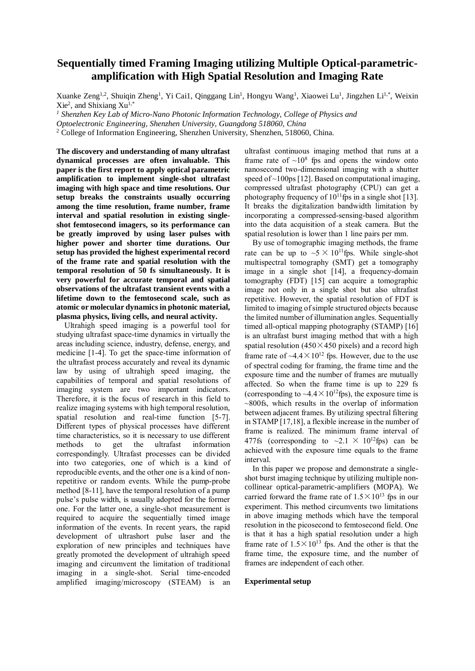# **Sequentially timed Framing Imaging utilizing Multiple Optical-parametricamplification with High Spatial Resolution and Imaging Rate**

Xuanke Zeng<sup>1,2</sup>, Shuiqin Zheng<sup>1</sup>, Yi Cai1, Qinggang Lin<sup>1</sup>, Hongyu Wang<sup>1</sup>, Xiaowei Lu<sup>1</sup>, Jingzhen Li<sup>1,\*</sup>, Weixin  $Xie<sup>2</sup>$ , and Shixiang  $Xu<sup>1,*</sup>$ 

*<sup>1</sup> Shenzhen Key Lab of Micro-Nano Photonic Information Technology, College of Physics and*

*Optoelectronic Engineering, Shenzhen University, Guangdong 518060, China*

<sup>2</sup> College of Information Engineering, Shenzhen University, Shenzhen, 518060, China.

**The discovery and understanding of many ultrafast dynamical processes are often invaluable. This paper is the first report to apply optical parametric amplification to implement single-shot ultrafast imaging with high space and time resolutions. Our setup breaks the constraints usually occurring among the time resolution, frame number, frame interval and spatial resolution in existing singleshot femtosecond imagers, so its performance can be greatly improved by using laser pulses with higher power and shorter time durations. Our setup has provided the highest experimental record of the frame rate and spatial resolution with the temporal resolution of 50 fs simultaneously. It is very powerful for accurate temporal and spatial observations of the ultrafast transient events with a lifetime down to the femtosecond scale, such as atomic or molecular dynamics in photonic material, plasma physics, living cells, and neural activity.**

Ultrahigh speed imaging is a powerful tool for studying ultrafast space-time dynamics in virtually the areas including science, industry, defense, energy, and medicine [1-4]. To get the space-time information of the ultrafast process accurately and reveal its dynamic law by using of ultrahigh speed imaging, the capabilities of temporal and spatial resolutions of imaging system are two important indicators. Therefore, it is the focus of research in this field to realize imaging systems with high temporal resolution, spatial resolution and real-time function [5-7]. Different types of physical processes have different time characteristics, so it is necessary to use different methods to get the ultrafast information correspondingly. Ultrafast processes can be divided into two categories, one of which is a kind of reproducible events, and the other one is a kind of nonrepetitive or random events. While the pump-probe method [8-11], have the temporal resolution of a pump pulse's pulse width, is usually adopted for the former one. For the latter one, a single-shot measurement is required to acquire the sequentially timed image information of the events. In recent years, the rapid development of ultrashort pulse laser and the exploration of new principles and techniques have greatly promoted the development of ultrahigh speed imaging and circumvent the limitation of traditional imaging in a single-shot. Serial time-encoded amplified imaging/microscopy (STEAM) is an

ultrafast continuous imaging method that runs at a frame rate of  $\sim 10^8$  fps and opens the window onto nanosecond two-dimensional imaging with a shutter speed of  $\sim$ 100ps [12]. Based on computational imaging, compressed ultrafast photography (CPU) can get a photography frequency of  $10^{11}$  fps in a single shot [13]. It breaks the digitalization bandwidth limitation by incorporating a compressed-sensing-based algorithm into the data acquisition of a steak camera. But the spatial resolution is lower than 1 line pairs per mm.

By use of tomographic imaging methods, the frame rate can be up to  $\sim 5 \times 10^{11}$  fps. While single-shot multispectral tomography (SMT) get a tomography image in a single shot [14], a frequency-domain tomography (FDT) [15] can acquire a tomographic image not only in a single shot but also ultrafast repetitive. However, the spatial resolution of FDT is limited to imaging of simple structured objects because the limited number of illumination angles. Sequentially timed all-optical mapping photography (STAMP) [16] is an ultrafast burst imaging method that with a high spatial resolution ( $450 \times 450$  pixels) and a record high frame rate of  $\sim$ 4.4 $\times$ 10<sup>12</sup> fps. However, due to the use of spectral coding for framing, the frame time and the exposure time and the number of frames are mutually affected. So when the frame time is up to 229 fs (corresponding to  $\sim$ 4.4 $\times$ 10<sup>12</sup>fps), the exposure time is ~800fs, which results in the overlap of information between adjacent frames. By utilizing spectral filtering in STAMP [17,18], a flexible increase in the number of frame is realized. The minimum frame interval of 477fs (corresponding to  $\sim 2.1 \times 10^{12}$  fps) can be achieved with the exposure time equals to the frame interval.

In this paper we propose and demonstrate a singleshot burst imaging technique by utilizing multiple noncollinear optical-parametric-amplifiers (MOPA). We carried forward the frame rate of  $1.5 \times 10^{13}$  fps in our experiment. This method circumvents two limitations in above imaging methods which have the temporal resolution in the picosecond to femtosecond field. One is that it has a high spatial resolution under a high frame rate of  $1.5 \times 10^{13}$  fps. And the other is that the frame time, the exposure time, and the number of frames are independent of each other.

### **Experimental setup**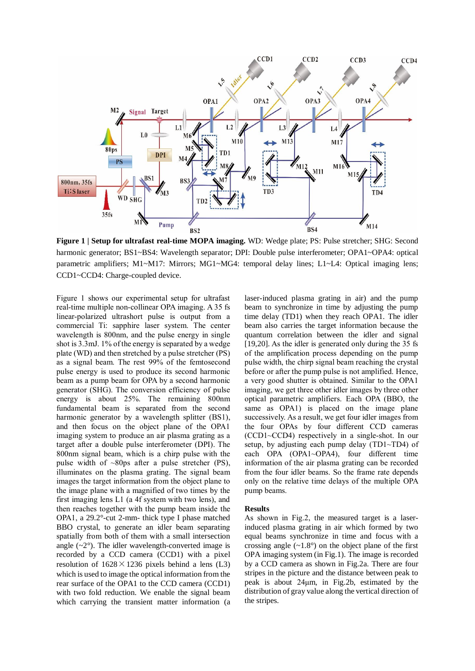

**Figure 1 | Setup for ultrafast real-time MOPA imaging.** WD: Wedge plate; PS: Pulse stretcher; SHG: Second harmonic generator; BS1~BS4: Wavelength separator; DPI: Double pulse interferometer; OPA1~OPA4: optical parametric amplifiers; M1~M17: Mirrors; MG1~MG4: temporal delay lines; L1~L4: Optical imaging lens; CCD1~CCD4: Charge-coupled device.

Figure 1 shows our experimental setup for ultrafast real-time multiple non-collinear OPA imaging. A 35 fs linear-polarized ultrashort pulse is output from a commercial Ti: sapphire laser system. The center wavelength is 800nm, and the pulse energy in single shot is 3.3mJ. 1% of the energy is separated by a wedge plate (WD) and then stretched by a pulse stretcher (PS) as a signal beam. The rest 99% of the femtosecond pulse energy is used to produce its second harmonic beam as a pump beam for OPA by a second harmonic generator (SHG). The conversion efficiency of pulse energy is about 25%. The remaining 800nm fundamental beam is separated from the second harmonic generator by a wavelength splitter (BS1), and then focus on the object plane of the OPA1 imaging system to produce an air plasma grating as a target after a double pulse interferometer (DPI). The 800nm signal beam, which is a chirp pulse with the pulse width of  $\sim 80 \text{ps}$  after a pulse stretcher (PS), illuminates on the plasma grating. The signal beam images the target information from the object plane to the image plane with a magnified of two times by the first imaging lens L1 (a 4f system with two lens), and then reaches together with the pump beam inside the OPA1, a 29.2°-cut 2-mm- thick type I phase matched BBO crystal, to generate an idler beam separating spatially from both of them with a small intersection angle  $(-2)$ . The idler wavelength-converted image is recorded by a CCD camera (CCD1) with a pixel resolution of  $1628 \times 1236$  pixels behind a lens (L3) which is used to image the optical information from the rear surface of the OPA1 to the CCD camera (CCD1) with two fold reduction. We enable the signal beam which carrying the transient matter information (a

laser-induced plasma grating in air) and the pump beam to synchronize in time by adjusting the pump time delay (TD1) when they reach OPA1. The idler beam also carries the target information because the quantum correlation between the idler and signal [19,20]. As the idler is generated only during the 35 fs of the amplification process depending on the pump pulse width, the chirp signal beam reaching the crystal before or after the pump pulse is not amplified. Hence, a very good shutter is obtained. Similar to the OPA1 imaging, we get three other idler images by three other optical parametric amplifiers. Each OPA (BBO, the same as OPA1) is placed on the image plane successively. As a result, we get four idler images from the four OPAs by four different CCD cameras (CCD1~CCD4) respectively in a single-shot. In our setup, by adjusting each pump delay (TD1~TD4) of each OPA (OPA1~OPA4), four different time information of the air plasma grating can be recorded from the four idler beams. So the frame rate depends only on the relative time delays of the multiple OPA pump beams.

## **Results**

As shown in Fig.2, the measured target is a laserinduced plasma grating in air which formed by two equal beams synchronize in time and focus with a crossing angle  $(-1.8)$  on the object plane of the first OPA imaging system (in Fig.1). The image is recorded by a CCD camera as shown in Fig.2a. There are four stripes in the picture and the distance between peak to peak is about 24μm, in Fig.2b, estimated by the distribution of gray value along the vertical direction of the stripes.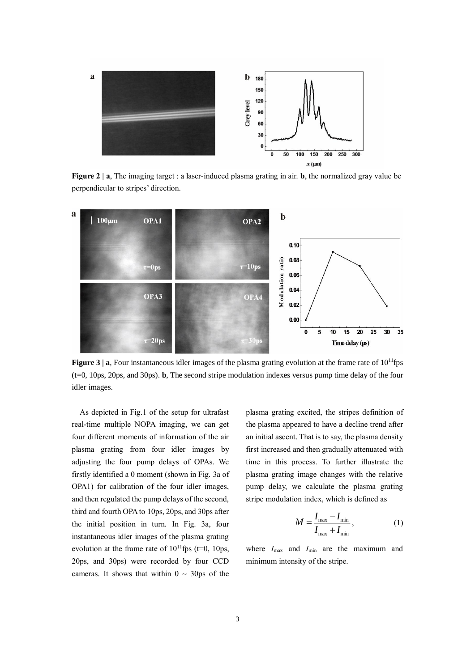

**Figure 2 | a**, The imaging target : a laser-induced plasma grating in air. **b**, the normalized gray value be perpendicular to stripes' direction.



**Figure 3 | a**, Four instantaneous idler images of the plasma grating evolution at the frame rate of  $10^{11}$ fps (t=0, 10ps, 20ps, and 30ps). **b**, The second stripe modulation indexes versus pump time delay of the four idler images.

As depicted in Fig.1 of the setup for ultrafast real-time multiple NOPA imaging, we can get four different moments of information of the air plasma grating from four idler images by adjusting the four pump delays of OPAs. We firstly identified a 0 moment (shown in Fig. 3a of OPA1) for calibration of the four idler images, and then regulated the pump delays of the second, third and fourth OPA to 10ps, 20ps, and 30ps after the initial position in turn. In Fig. 3a, four instantaneous idler images of the plasma grating evolution at the frame rate of  $10^{11}$ fps (t=0, 10ps, 20ps, and 30ps) were recorded by four CCD cameras. It shows that within  $0 \sim 30 \text{ps of the}$ 

plasma grating excited, the stripes definition of the plasma appeared to have a decline trend after an initial ascent. That is to say, the plasma density first increased and then gradually attenuated with time in this process. To further illustrate the plasma grating image changes with the relative pump delay, we calculate the plasma grating stripe modulation index, which is defined as

$$
M = \frac{I_{\text{max}} - I_{\text{min}}}{I_{\text{max}} + I_{\text{min}}},\tag{1}
$$

where  $I_{\text{max}}$  and  $I_{\text{min}}$  are the maximum and minimum intensity of the stripe.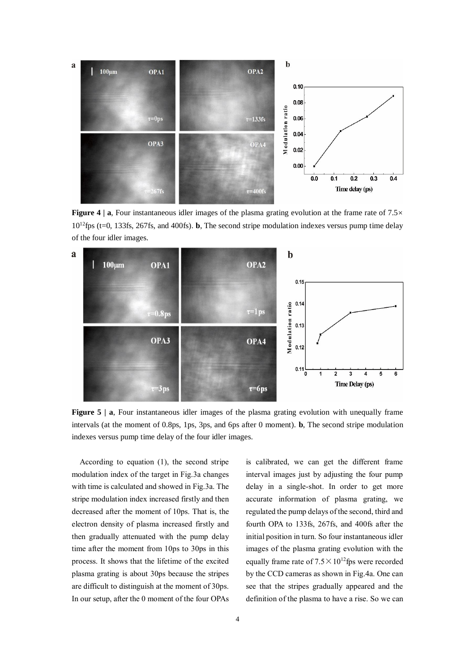

**Figure 4** | **a**, Four instantaneous idler images of the plasma grating evolution at the frame rate of 7.5× 10<sup>12</sup>fps (t=0, 133fs, 267fs, and 400fs). **b**, The second stripe modulation indexes versus pump time delay of the four idler images.



**Figure 5** | **a**, Four instantaneous idler images of the plasma grating evolution with unequally frame intervals (at the moment of 0.8ps, 1ps, 3ps, and 6ps after 0 moment). **b**, The second stripe modulation indexes versus pump time delay of the four idler images.

According to equation (1), the second stripe modulation index of the target in Fig.3a changes with time is calculated and showed in Fig.3a. The stripe modulation index increased firstly and then decreased after the moment of 10ps. That is, the electron density of plasma increased firstly and then gradually attenuated with the pump delay time after the moment from 10ps to 30ps in this process. It shows that the lifetime of the excited plasma grating is about 30ps because the stripes are difficult to distinguish at the moment of 30ps. In our setup, after the 0 moment of the four OPAs is calibrated, we can get the different frame interval images just by adjusting the four pump delay in a single-shot. In order to get more accurate information of plasma grating, we regulated the pump delays of the second, third and fourth OPA to 133fs, 267fs, and 400fs after the initial position in turn. So four instantaneous idler images of the plasma grating evolution with the equally frame rate of  $7.5 \times 10^{12}$  fps were recorded by the CCD cameras as shown in Fig.4a. One can see that the stripes gradually appeared and the definition of the plasma to have a rise. So we can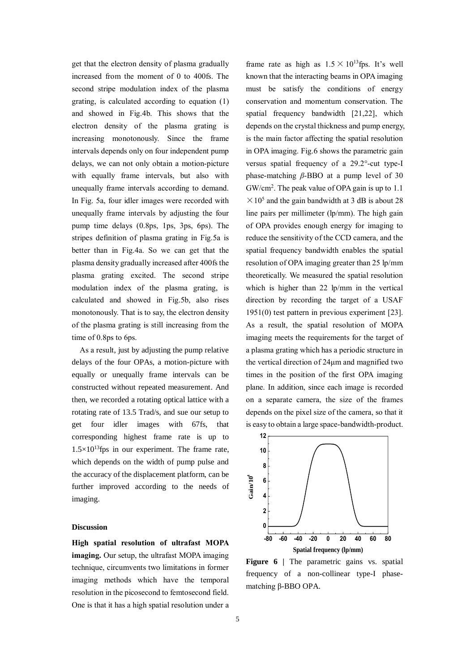get that the electron density of plasma gradually increased from the moment of 0 to 400fs. The second stripe modulation index of the plasma grating, is calculated according to equation (1) and showed in Fig.4b. This shows that the electron density of the plasma grating is increasing monotonously. Since the frame intervals depends only on four independent pump delays, we can not only obtain a motion-picture with equally frame intervals, but also with unequally frame intervals according to demand. In Fig. 5a, four idler images were recorded with unequally frame intervals by adjusting the four pump time delays (0.8ps, 1ps, 3ps, 6ps). The stripes definition of plasma grating in Fig.5a is better than in Fig.4a. So we can get that the plasma density gradually increased after 400fs the plasma grating excited. The second stripe modulation index of the plasma grating, is calculated and showed in Fig.5b, also rises monotonously. That is to say, the electron density of the plasma grating is still increasing from the time of 0.8ps to 6ps.

As a result, just by adjusting the pump relative delays of the four OPAs, a motion-picture with equally or unequally frame intervals can be constructed without repeated measurement. And then, we recorded a rotating optical lattice with a rotating rate of 13.5 Trad/s, and sue our setup to get four idler images with 67fs, that corresponding highest frame rate is up to  $1.5 \times 10^{13}$ fps in our experiment. The frame rate, which depends on the width of pump pulse and the accuracy of the displacement platform, can be further improved according to the needs of imaging.

## **Discussion**

**High spatial resolution of ultrafast MOPA imaging.** Our setup, the ultrafast MOPA imaging technique, circumvents two limitations in former imaging methods which have the temporal resolution in the picosecond to femtosecond field. One is that it has a high spatial resolution under a frame rate as high as  $1.5 \times 10^{13}$  fps. It's well known that the interacting beams in OPA imaging must be satisfy the conditions of energy conservation and momentum conservation. The spatial frequency bandwidth [21,22], which depends on the crystal thickness and pump energy, is the main factor affecting the spatial resolution in OPA imaging. Fig.6 shows the parametric gain versus spatial frequency of a 29.2°-cut type-I phase-matching *β*-BBO at a pump level of 30 GW/cm<sup>2</sup>. The peak value of OPA gain is up to 1.1  $\times$  10<sup>5</sup> and the gain bandwidth at 3 dB is about 28 line pairs per millimeter (lp/mm). The high gain of OPA provides enough energy for imaging to reduce the sensitivity of the CCD camera, and the spatial frequency bandwidth enables the spatial resolution of OPA imaging greater than 25 lp/mm theoretically. We measured the spatial resolution which is higher than 22 lp/mm in the vertical direction by recording the target of a USAF 1951(0) test pattern in previous experiment [23]. As a result, the spatial resolution of MOPA imaging meets the requirements for the target of a plasma grating which has a periodic structure in the vertical direction of 24μm and magnified two times in the position of the first OPA imaging plane. In addition, since each image is recorded on a separate camera, the size of the frames depends on the pixel size of the camera, so that it is easy to obtain a large space-bandwidth-product.



**Figure 6 |** The parametric gains vs. spatial frequency of a non-collinear type-I phasematching β-BBO OPA.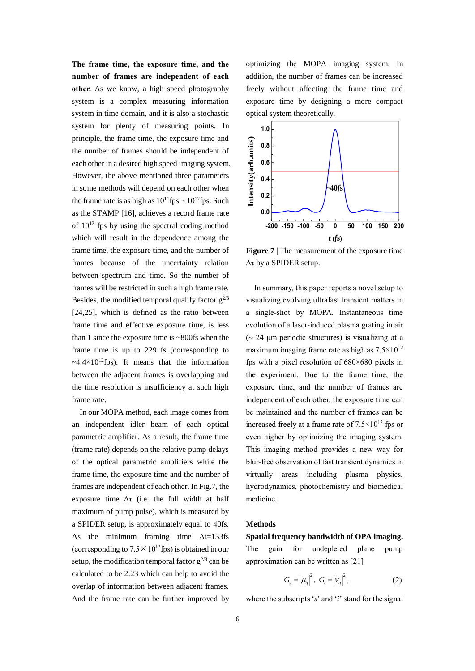**The frame time, the exposure time, and the number of frames are independent of each other.** As we know, a high speed photography system is a complex measuring information system in time domain, and it is also a stochastic system for plenty of measuring points. In principle, the frame time, the exposure time and the number of frames should be independent of each other in a desired high speed imaging system. However, the above mentioned three parameters in some methods will depend on each other when the frame rate is as high as  $10^{11}$ fps ~  $10^{12}$ fps. Such as the STAMP [16], achieves a record frame rate of  $10^{12}$  fps by using the spectral coding method which will result in the dependence among the frame time, the exposure time, and the number of frames because of the uncertainty relation between spectrum and time. So the number of frames will be restricted in such a high frame rate. Besides, the modified temporal qualify factor  $g^{2/3}$ [24,25], which is defined as the ratio between frame time and effective exposure time, is less than 1 since the exposure time is  $\sim 800$  fs when the frame time is up to 229 fs (corresponding to  $\sim$ 4.4 $\times$ 10<sup>12</sup>fps). It means that the information between the adjacent frames is overlapping and the time resolution is insufficiency at such high frame rate.

In our MOPA method, each image comes from an independent idler beam of each optical parametric amplifier. As a result, the frame time (frame rate) depends on the relative pump delays of the optical parametric amplifiers while the frame time, the exposure time and the number of frames are independent of each other. In Fig.7, the exposure time  $\Delta \tau$  (i.e. the full width at half maximum of pump pulse), which is measured by a SPIDER setup, is approximately equal to 40fs. As the minimum framing time Δt=133fs (corresponding to  $7.5 \times 10^{12}$  fps) is obtained in our setup, the modification temporal factor  $g^{2/3}$  can be calculated to be 2.23 which can help to avoid the overlap of information between adjacent frames. And the frame rate can be further improved by

optimizing the MOPA imaging system. In addition, the number of frames can be increased freely without affecting the frame time and exposure time by designing a more compact optical system theoretically.



**Figure 7 |** The measurement of the exposure time Δτ by a SPIDER setup.

 In summary, this paper reports a novel setup to visualizing evolving ultrafast transient matters in a single-shot by MOPA. Instantaneous time evolution of a laser-induced plasma grating in air  $($   $\sim$  24 μm periodic structures) is visualizing at a maximum imaging frame rate as high as  $7.5 \times 10^{12}$ fps with a pixel resolution of 680×680 pixels in the experiment. Due to the frame time, the exposure time, and the number of frames are independent of each other, the exposure time can be maintained and the number of frames can be increased freely at a frame rate of  $7.5 \times 10^{12}$  fps or even higher by optimizing the imaging system. This imaging method provides a new way for blur-free observation of fast transient dynamics in virtually areas including plasma physics, hydrodynamics, photochemistry and biomedical medicine.

### **Methods**

**Spatial frequency bandwidth of OPA imaging.** The gain for undepleted plane pump approximation can be written as [21]

$$
G_{s} = |\mu_{q}|^{2}, \ G_{i} = |\nu_{q}|^{2}, \tag{2}
$$

where the subscripts 's' and 'i' stand for the signal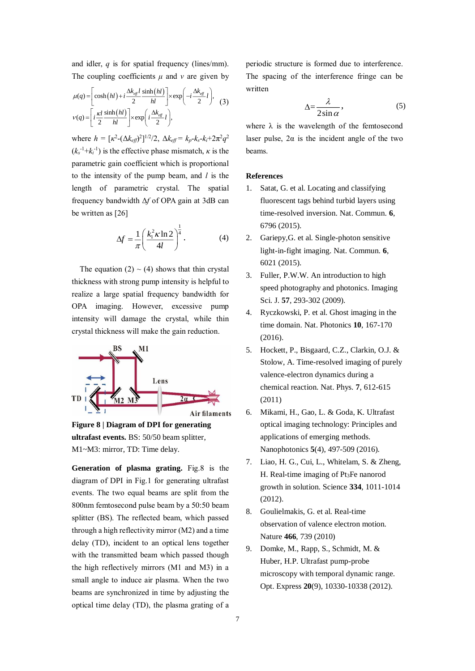and idler, *q* is for spatial frequency (lines/mm). The coupling coefficients *μ* and *ν* are given by

$$
\mu(q) = \left[\cosh\left(hl\right) + i\frac{\Delta k_{\text{eff}}l}{2}\frac{\sinh\left(hl\right)}{hl}\right] \times \exp\left(-i\frac{\Delta k_{\text{eff}}}{2}l\right), \quad (3)
$$

$$
v(q) = \left[i\frac{\kappa l}{2}\frac{\sinh\left(hl\right)}{hl}\right] \times \exp\left(i\frac{\Delta k_{\text{eff}}}{2}l\right),
$$

where  $h = [k^2 - (\Delta k_{\text{eff}})^2]^{1/2} / 2$ ,  $\Delta k_{\text{eff}} = k_p - k_s - k_i + 2\pi^2 q^2$  $(k_s^{-1}+k_i^{-1})$  is the effective phase mismatch,  $\kappa$  is the parametric gain coefficient which is proportional to the intensity of the pump beam, and *l* is the length of parametric crystal. The spatial frequency bandwidth Δ*f* of OPA gain at 3dB can be written as [26]

$$
\Delta f = \frac{1}{\pi} \left( \frac{k_1^2 \kappa \ln 2}{4l} \right)^{\frac{1}{4}}.
$$
 (4)

The equation  $(2) \sim (4)$  shows that thin crystal thickness with strong pump intensity is helpful to realize a large spatial frequency bandwidth for OPA imaging. However, excessive pump intensity will damage the crystal, while thin crystal thickness will make the gain reduction.



**Figure 8 | Diagram of DPI for generating ultrafast events.** BS: 50/50 beam splitter, M1~M3: mirror, TD: Time delay.

**Generation of plasma grating.** Fig.8 is the diagram of DPI in Fig.1 for generating ultrafast events. The two equal beams are split from the 800nm femtosecond pulse beam by a 50:50 beam splitter (BS). The reflected beam, which passed through a high reflectivity mirror (M2) and a time delay (TD), incident to an optical lens together with the transmitted beam which passed though the high reflectively mirrors (M1 and M3) in a small angle to induce air plasma. When the two beams are synchronized in time by adjusting the optical time delay (TD), the plasma grating of a periodic structure is formed due to interference. The spacing of the interference fringe can be written

$$
\Delta = \frac{\lambda}{2\sin\alpha},\tag{5}
$$

where  $\lambda$  is the wavelength of the femtosecond laser pulse,  $2\alpha$  is the incident angle of the two beams.

#### **References**

- 1. Satat, G. et al. Locating and classifying fluorescent tags behind turbid layers using time-resolved inversion. Nat. Commun. **6**, 6796 (2015).
- 2. Gariepy,G. et al. Single-photon sensitive light-in-fight imaging. Nat. Commun. **6**, 6021 (2015).
- 3. Fuller, P.W.W. An introduction to high speed photography and photonics. Imaging Sci. J. **57**, 293-302 (2009).
- 4. Ryczkowski, P. et al. Ghost imaging in the time domain. Nat. Photonics **10**, 167-170 (2016).
- 5. Hockett, P., Bisgaard, C.Z., Clarkin, O.J. & Stolow, A. Time-resolved imaging of purely valence-electron dynamics during a chemical reaction. Nat. Phys. **7**, 612-615 (2011)
- 6. Mikami, H., Gao, L. & Goda, K. Ultrafast optical imaging technology: Principles and applications of emerging methods. Nanophotonics **5**(4), 497-509 (2016).
- 7. Liao, H. G., Cui, L., Whitelam, S. & Zheng, H. Real-time imaging of Pt3Fe nanorod growth in solution. Science **334**, 1011-1014 (2012).
- 8. Goulielmakis, G. et al. Real-time observation of valence electron motion. Nature **466**, 739 (2010)
- 9. Domke, M., Rapp, S., Schmidt, M. & Huber, H.P. Ultrafast pump-probe microscopy with temporal dynamic range. Opt. Express **20**(9), 10330-10338 (2012).